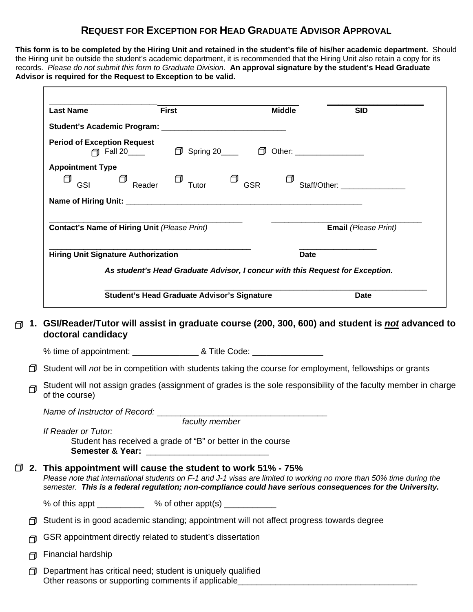## **REQUEST FOR EXCEPTION FOR HEAD GRADUATE ADVISOR APPROVAL**

**This form is to be completed by the Hiring Unit and retained in the student's file of his/her academic department.** Should the Hiring unit be outside the student's academic department, it is recommended that the Hiring Unit also retain a copy for its records. *Please do not submit this form to Graduate Division.* **An approval signature by the student's Head Graduate Advisor is required for the Request to Exception to be valid.** 

|                                                              | <b>First</b>                                                |                | <b>Middle</b> | <b>SID</b>                                                                                                                                                                                                                         |
|--------------------------------------------------------------|-------------------------------------------------------------|----------------|---------------|------------------------------------------------------------------------------------------------------------------------------------------------------------------------------------------------------------------------------------|
|                                                              |                                                             |                |               |                                                                                                                                                                                                                                    |
| <b>Period of Exception Request</b>                           | □ Fall 20 <u>D</u> Spring 20 D Other: 20 D Other:           |                |               |                                                                                                                                                                                                                                    |
| <b>Appointment Type</b><br>₫<br>GSI                          | $\Box$ Reader $\Box$ Tutor $\Box$ GSR                       |                |               | Staff/Other: ______________                                                                                                                                                                                                        |
|                                                              |                                                             |                |               |                                                                                                                                                                                                                                    |
| Contact's Name of Hiring Unit (Please Print)                 |                                                             |                |               | <b>Email</b> (Please Print)                                                                                                                                                                                                        |
| <b>Hiring Unit Signature Authorization</b>                   |                                                             |                |               | <b>Date</b>                                                                                                                                                                                                                        |
|                                                              |                                                             |                |               | As student's Head Graduate Advisor, I concur with this Request for Exception.                                                                                                                                                      |
|                                                              |                                                             |                |               |                                                                                                                                                                                                                                    |
|                                                              | Student's Head Graduate Advisor's Signature                 |                |               |                                                                                                                                                                                                                                    |
|                                                              |                                                             |                |               | Date                                                                                                                                                                                                                               |
| doctoral candidacy                                           |                                                             |                |               | 1. GSI/Reader/Tutor will assist in graduate course (200, 300, 600) and student is <b>not advanced to</b>                                                                                                                           |
|                                                              |                                                             |                |               |                                                                                                                                                                                                                                    |
|                                                              |                                                             |                |               | □ Student will <i>not</i> be in competition with students taking the course for employment, fellowships or grants                                                                                                                  |
| of the course)                                               |                                                             |                |               | Student will not assign grades (assignment of grades is the sole responsibility of the faculty member in charge                                                                                                                    |
| Name of Instructor of Record: Name of Instructor of Record:  |                                                             |                |               |                                                                                                                                                                                                                                    |
|                                                              |                                                             | faculty member |               |                                                                                                                                                                                                                                    |
| If Reader or Tutor:                                          | Student has received a grade of "B" or better in the course |                |               |                                                                                                                                                                                                                                    |
| 2. This appointment will cause the student to work 51% - 75% |                                                             |                |               | Please note that international students on F-1 and J-1 visas are limited to working no more than 50% time during the<br>semester. This is a federal regulation; non-compliance could have serious consequences for the University. |

- $\Box$  Student is in good academic standing; appointment will not affect progress towards degree
- GSR appointment directly related to student's dissertation
- Financial hardship

₫

 $\Box$ 

 $\Box$  Department has critical need; student is uniquely qualified Other reasons or supporting comments if applicable\_\_\_\_\_\_\_\_\_\_\_\_\_\_\_\_\_\_\_\_\_\_\_\_\_\_\_\_\_\_\_